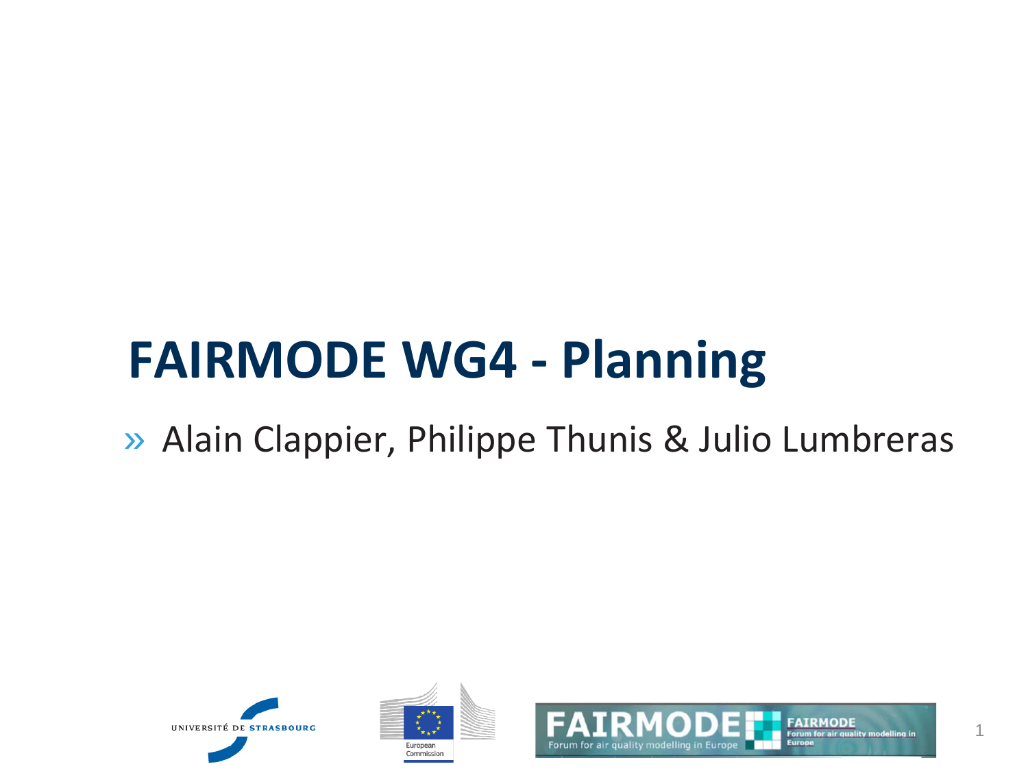#### **FAIRMODE WG4 - Planning**

» Alain Clappier, Philippe Thunis & Julio Lumbreras





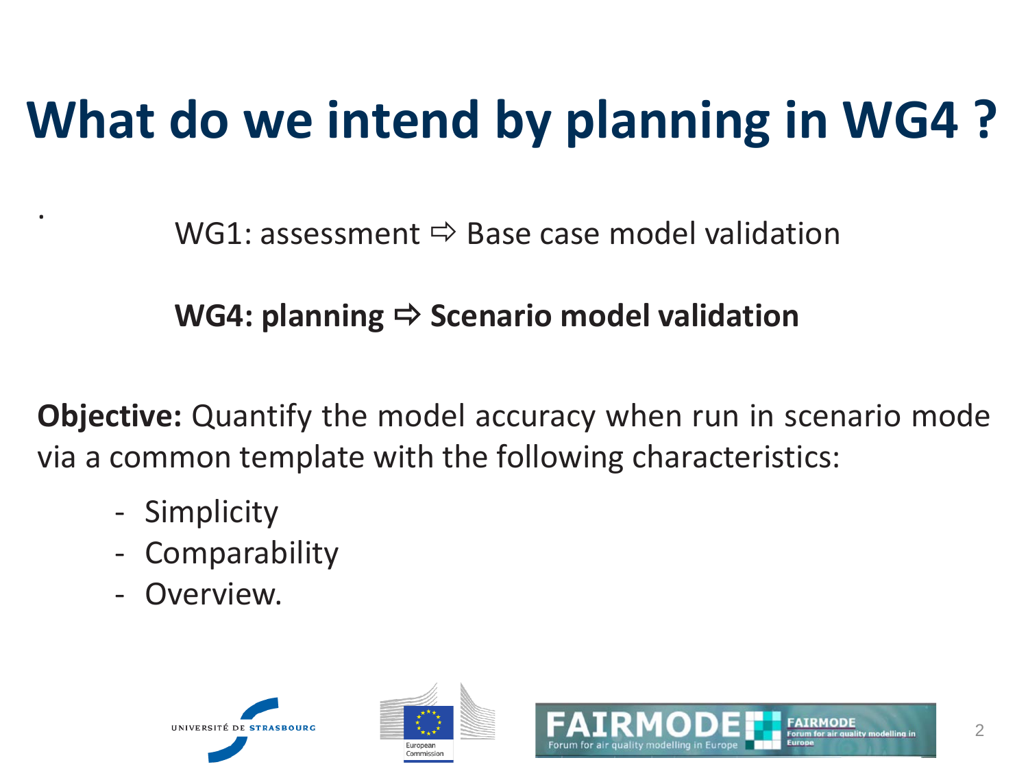### **What do we intend by planning in WG4 ?**

WG1: assessment  $\Rightarrow$  Base case model validation

#### **WG4: planning**  $\Rightarrow$  **Scenario model validation**

**Objective:** Quantify the model accuracy when run in scenario mode via a common template with the following characteristics:

- Simplicity

.

- **Comparability**
- Overview.





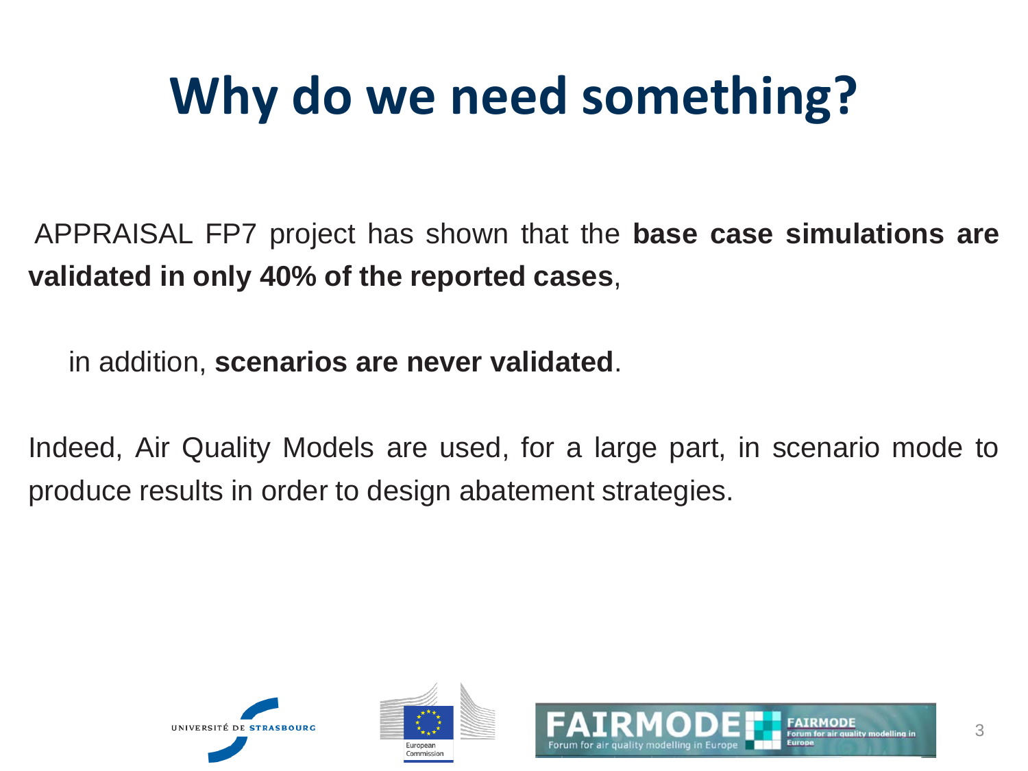### **Why do we need something?**

APPRAISAL FP7 project has shown that the **base case simulations are validated in only 40% of the reported cases**,

in addition, **scenarios are never validated**.

Indeed, Air Quality Models are used, for a large part, in scenario mode to produce results in order to design abatement strategies.





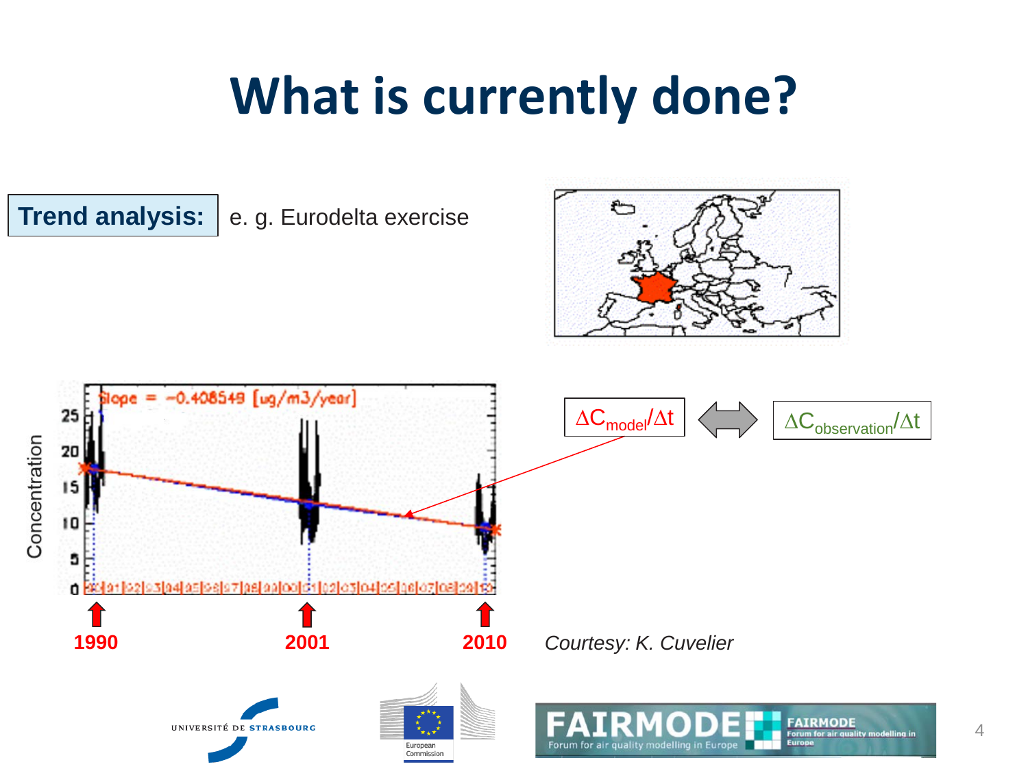#### **What is currently done?**

**Trend analysis:**

e. g. Eurodelta exercise



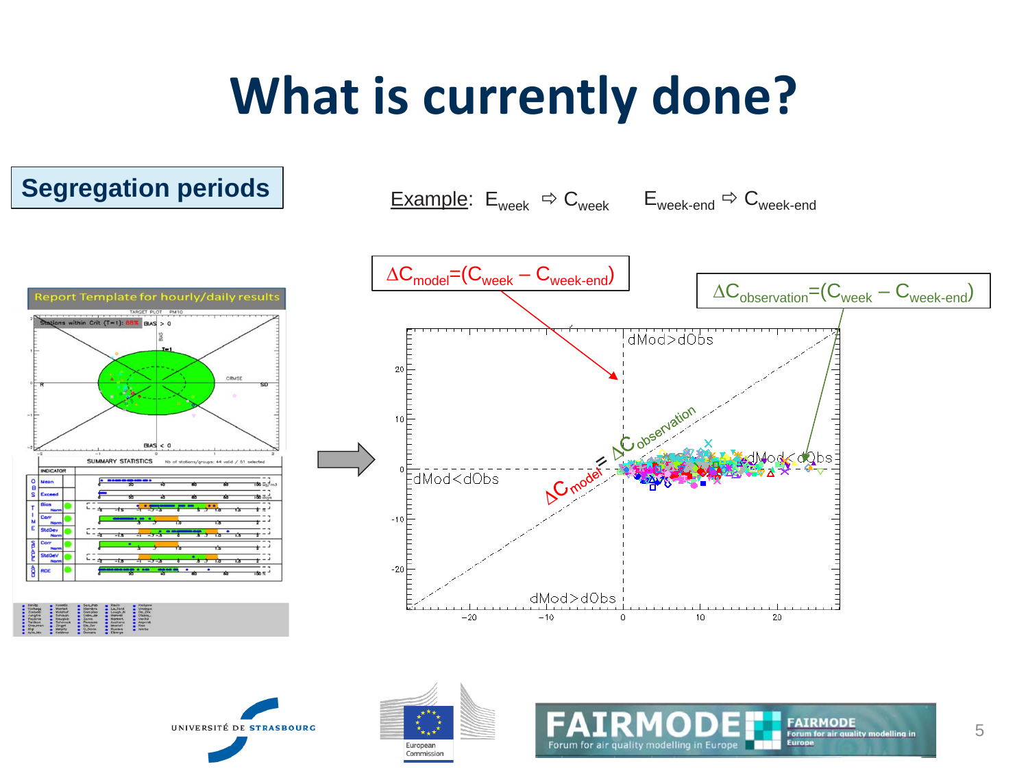#### **What is currently done?**

#### **Segregation periods**







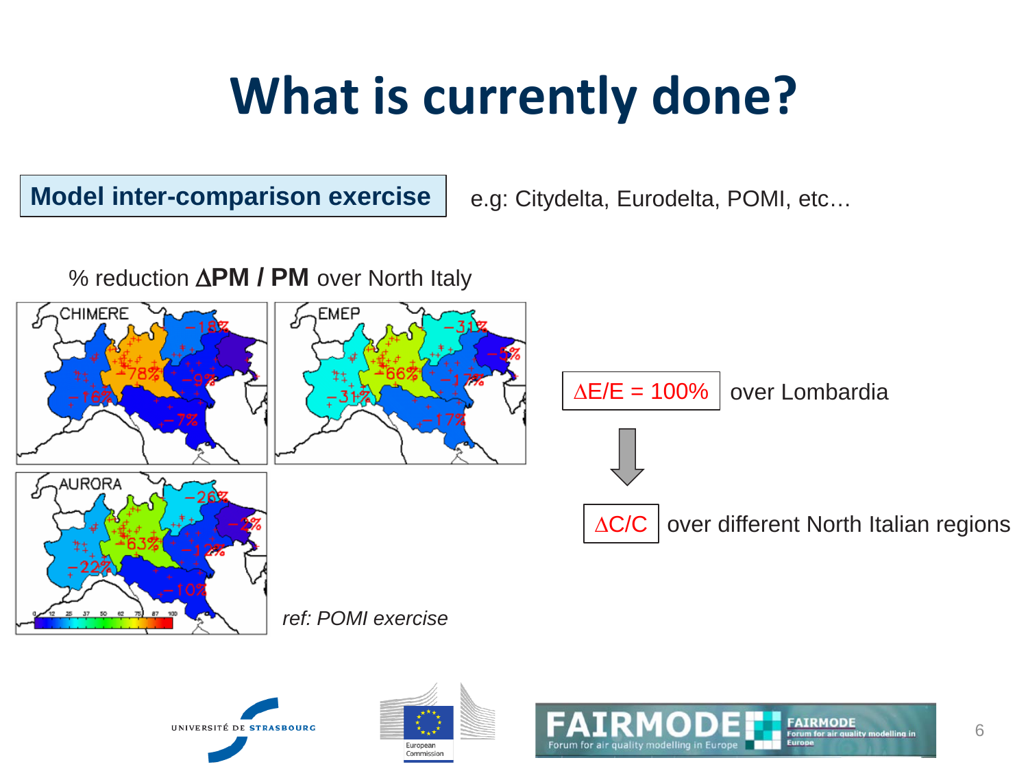#### **What is currently done?**

**Model inter-comparison exercise**

e.g: Citydelta, Eurodelta, POMI, etc…

% reduction ∆**PM / PM** over North Italy

UNIVERSITÉ DE STRASBOURG



Furonean Commission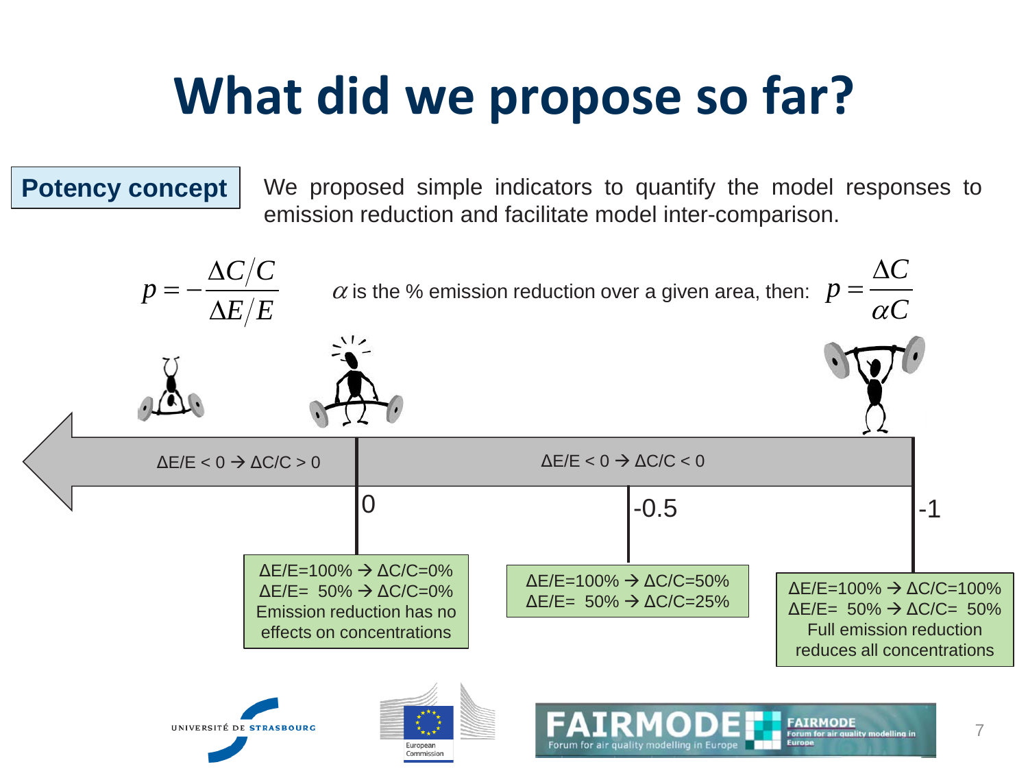#### **Potency concept**

We proposed simple indicators to quantify the model responses to emission reduction and facilitate model inter-comparison.

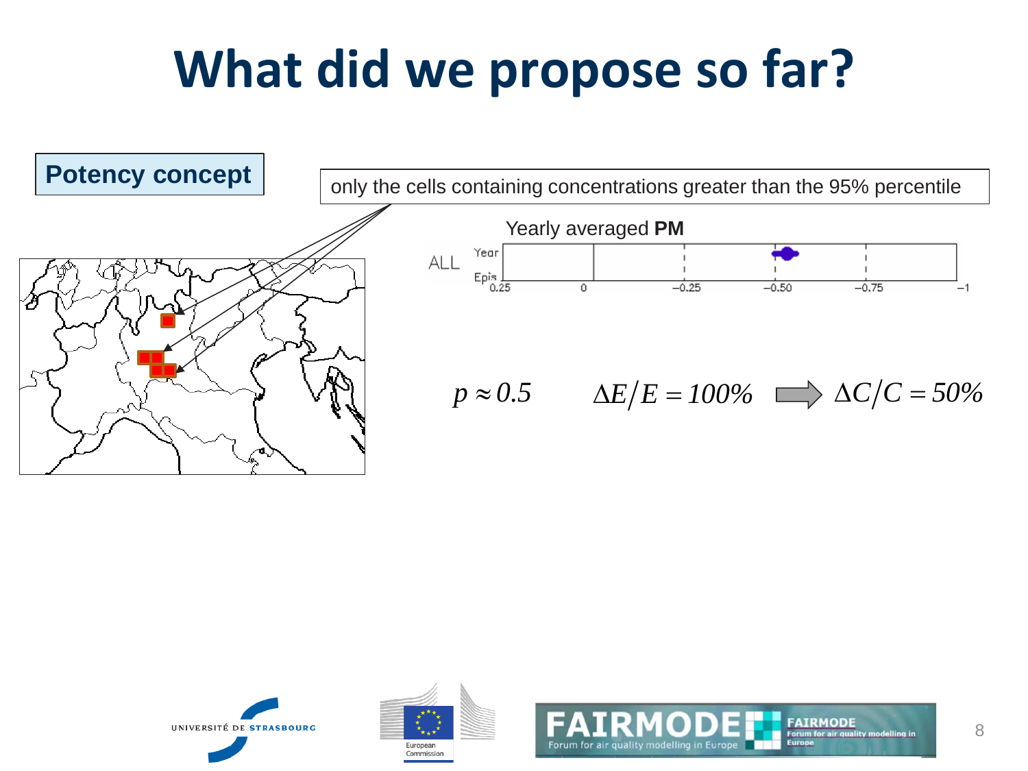





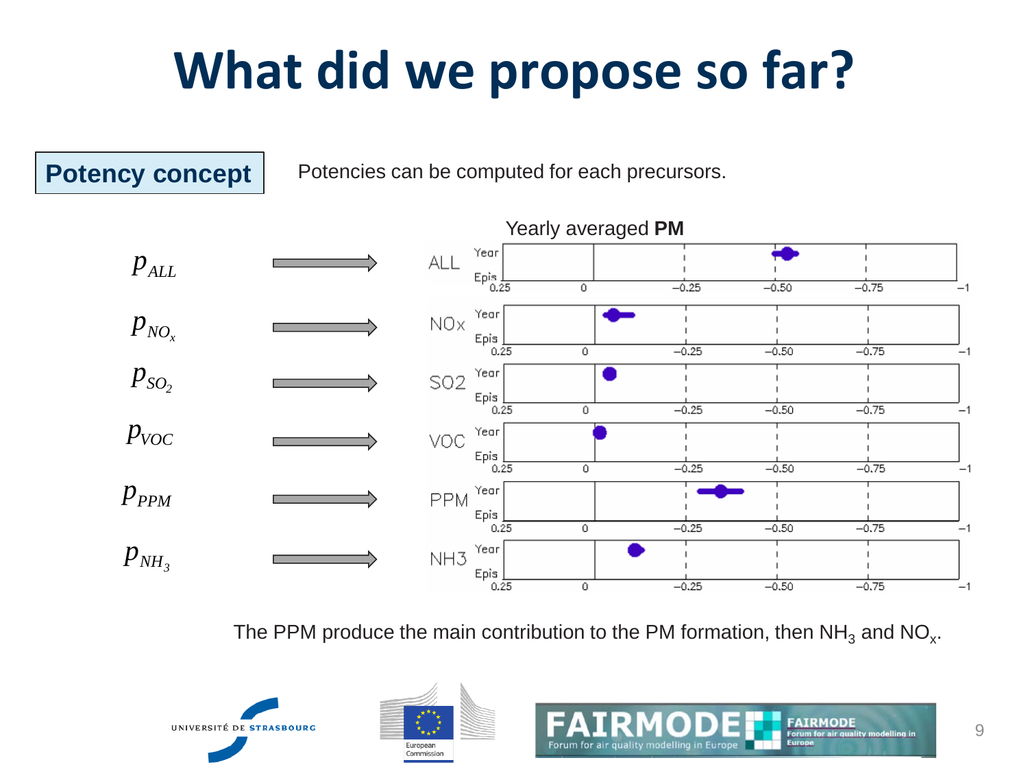

The PPM produce the main contribution to the PM formation, then  $NH<sub>3</sub>$  and NO<sub>x</sub>.



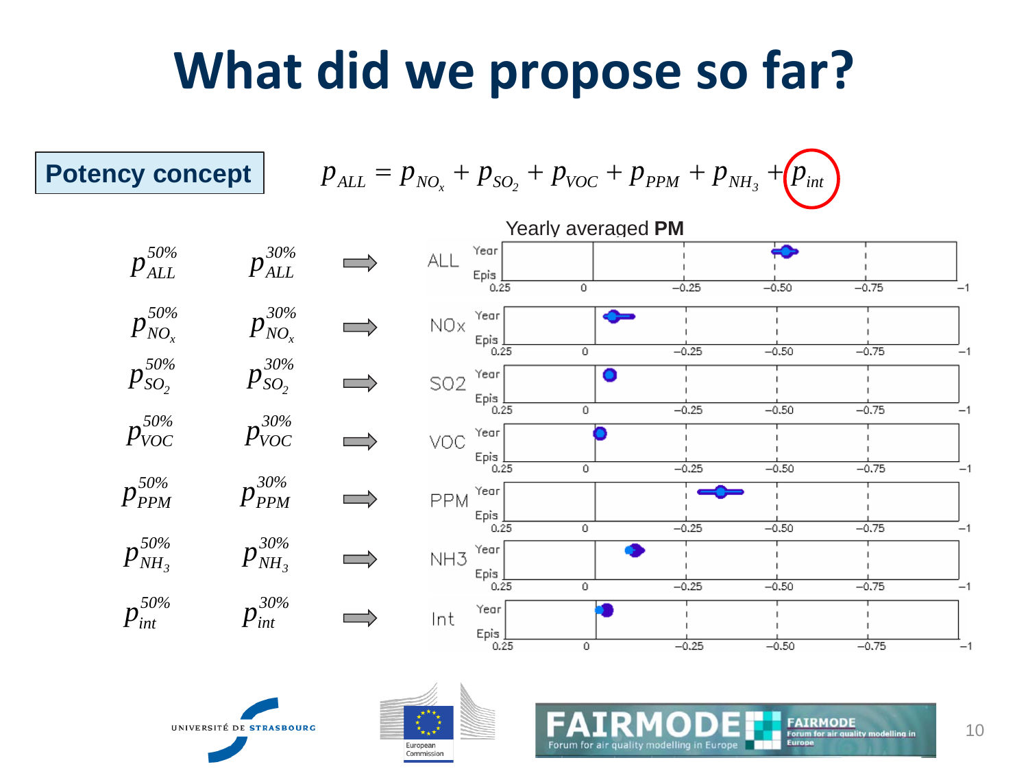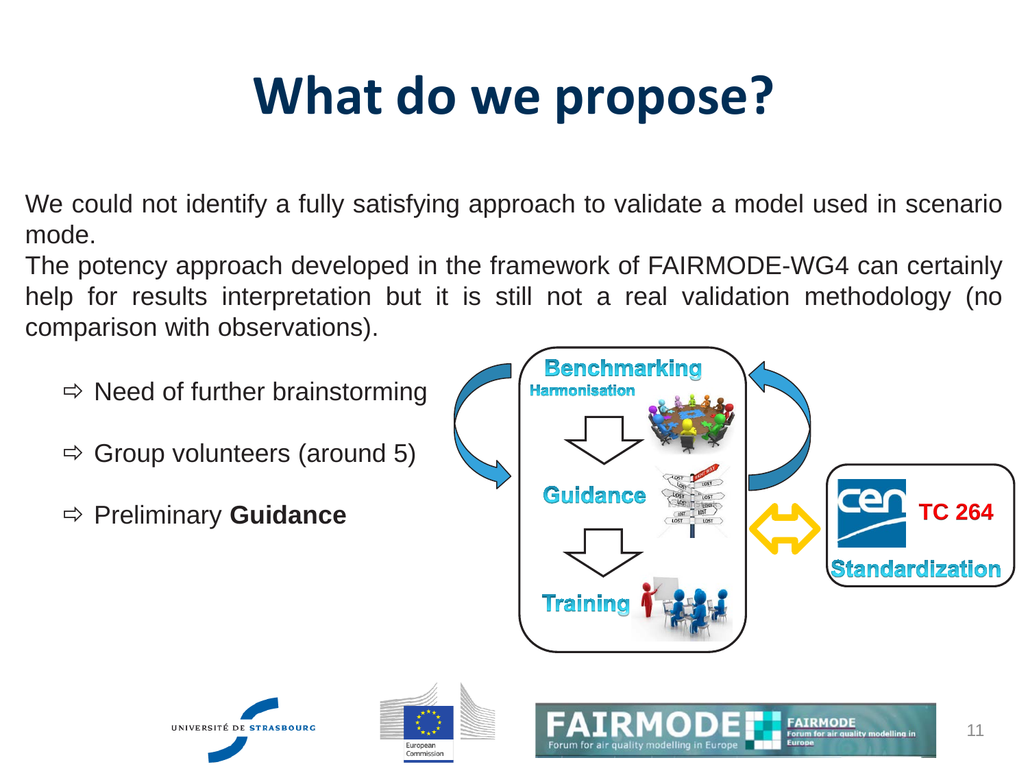## **What do we propose?**

We could not identify a fully satisfying approach to validate a model used in scenario mode.

The potency approach developed in the framework of FAIRMODE-WG4 can certainly help for results interpretation but it is still not a real validation methodology (no comparison with observations).

- $\Rightarrow$  Need of further brainstorming
- $\Rightarrow$  Group volunteers (around 5)
- Preliminary **Guidance**



**FAIRMOD**